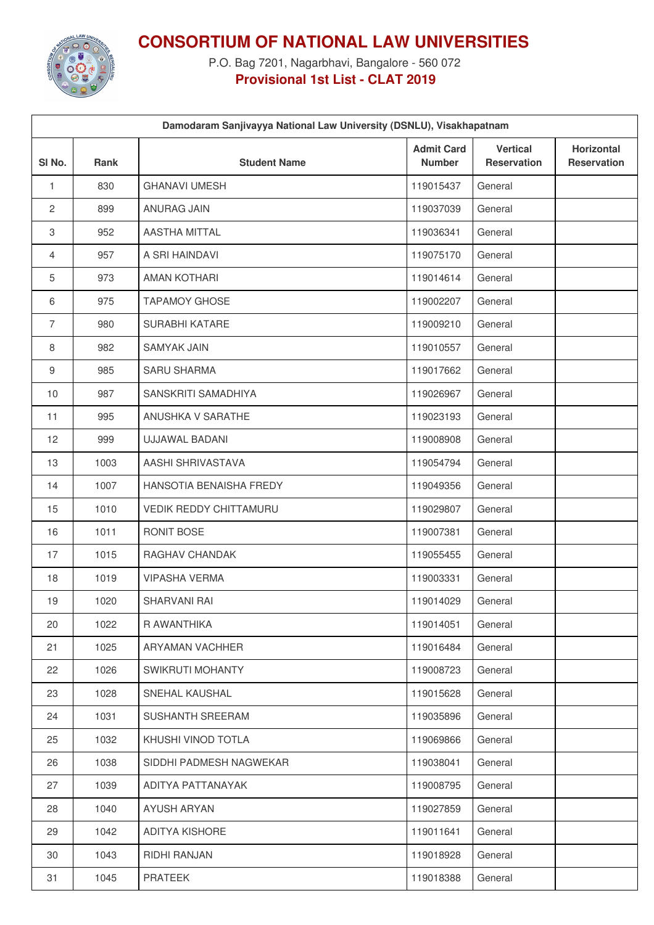

**CONSORTIUM OF NATIONAL LAW UNIVERSITIES**

P.O. Bag 7201, Nagarbhavi, Bangalore - 560 072 **Provisional 1st List - CLAT 2019**

|                   | Damodaram Sanjivayya National Law University (DSNLU), Visakhapatnam |                               |                                    |                                       |                                  |  |
|-------------------|---------------------------------------------------------------------|-------------------------------|------------------------------------|---------------------------------------|----------------------------------|--|
| SI <sub>No.</sub> | <b>Rank</b>                                                         | <b>Student Name</b>           | <b>Admit Card</b><br><b>Number</b> | <b>Vertical</b><br><b>Reservation</b> | Horizontal<br><b>Reservation</b> |  |
| $\mathbf{1}$      | 830                                                                 | <b>GHANAVI UMESH</b>          | 119015437                          | General                               |                                  |  |
| $\mathbf{2}$      | 899                                                                 | ANURAG JAIN                   | 119037039                          | General                               |                                  |  |
| 3                 | 952                                                                 | AASTHA MITTAL                 | 119036341                          | General                               |                                  |  |
| 4                 | 957                                                                 | A SRI HAINDAVI                | 119075170                          | General                               |                                  |  |
| 5                 | 973                                                                 | <b>AMAN KOTHARI</b>           | 119014614                          | General                               |                                  |  |
| 6                 | 975                                                                 | <b>TAPAMOY GHOSE</b>          | 119002207                          | General                               |                                  |  |
| $\overline{7}$    | 980                                                                 | SURABHI KATARE                | 119009210                          | General                               |                                  |  |
| 8                 | 982                                                                 | <b>SAMYAK JAIN</b>            | 119010557                          | General                               |                                  |  |
| $\boldsymbol{9}$  | 985                                                                 | <b>SARU SHARMA</b>            | 119017662                          | General                               |                                  |  |
| 10                | 987                                                                 | SANSKRITI SAMADHIYA           | 119026967                          | General                               |                                  |  |
| 11                | 995                                                                 | ANUSHKA V SARATHE             | 119023193                          | General                               |                                  |  |
| 12                | 999                                                                 | <b>UJJAWAL BADANI</b>         | 119008908                          | General                               |                                  |  |
| 13                | 1003                                                                | AASHI SHRIVASTAVA             | 119054794                          | General                               |                                  |  |
| 14                | 1007                                                                | HANSOTIA BENAISHA FREDY       | 119049356                          | General                               |                                  |  |
| 15                | 1010                                                                | <b>VEDIK REDDY CHITTAMURU</b> | 119029807                          | General                               |                                  |  |
| 16                | 1011                                                                | RONIT BOSE                    | 119007381                          | General                               |                                  |  |
| 17                | 1015                                                                | RAGHAV CHANDAK                | 119055455                          | General                               |                                  |  |
| 18                | 1019                                                                | <b>VIPASHA VERMA</b>          | 119003331                          | General                               |                                  |  |
| 19                | 1020                                                                | SHARVANI RAI                  | 119014029                          | General                               |                                  |  |
| 20                | 1022                                                                | R AWANTHIKA                   | 119014051                          | General                               |                                  |  |
| 21                | 1025                                                                | ARYAMAN VACHHER               | 119016484                          | General                               |                                  |  |
| 22                | 1026                                                                | SWIKRUTI MOHANTY              | 119008723                          | General                               |                                  |  |
| 23                | 1028                                                                | SNEHAL KAUSHAL                | 119015628                          | General                               |                                  |  |
| 24                | 1031                                                                | SUSHANTH SREERAM              | 119035896                          | General                               |                                  |  |
| 25                | 1032                                                                | KHUSHI VINOD TOTLA            | 119069866                          | General                               |                                  |  |
| 26                | 1038                                                                | SIDDHI PADMESH NAGWEKAR       | 119038041                          | General                               |                                  |  |
| 27                | 1039                                                                | ADITYA PATTANAYAK             | 119008795                          | General                               |                                  |  |
| 28                | 1040                                                                | AYUSH ARYAN                   | 119027859                          | General                               |                                  |  |
| 29                | 1042                                                                | ADITYA KISHORE                | 119011641                          | General                               |                                  |  |
| 30                | 1043                                                                | RIDHI RANJAN                  | 119018928                          | General                               |                                  |  |
| 31                | 1045                                                                | <b>PRATEEK</b>                | 119018388                          | General                               |                                  |  |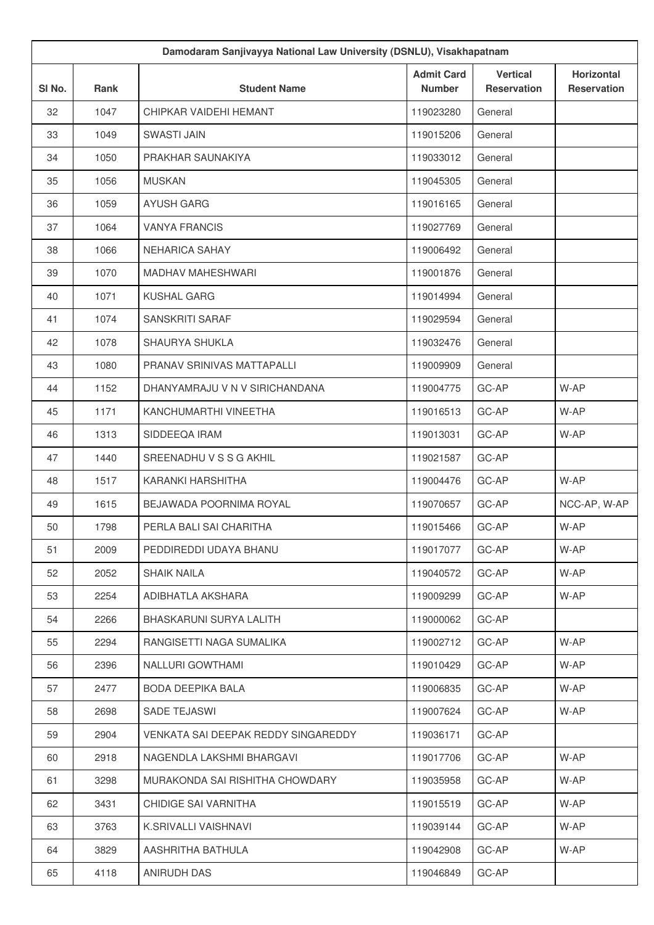| Damodaram Sanjivayya National Law University (DSNLU), Visakhapatnam |      |                                     |                                    |                                       |                                         |
|---------------------------------------------------------------------|------|-------------------------------------|------------------------------------|---------------------------------------|-----------------------------------------|
| SI No.                                                              | Rank | <b>Student Name</b>                 | <b>Admit Card</b><br><b>Number</b> | <b>Vertical</b><br><b>Reservation</b> | <b>Horizontal</b><br><b>Reservation</b> |
| 32                                                                  | 1047 | CHIPKAR VAIDEHI HEMANT              | 119023280                          | General                               |                                         |
| 33                                                                  | 1049 | <b>SWASTI JAIN</b>                  | 119015206                          | General                               |                                         |
| 34                                                                  | 1050 | PRAKHAR SAUNAKIYA                   | 119033012                          | General                               |                                         |
| 35                                                                  | 1056 | <b>MUSKAN</b>                       | 119045305                          | General                               |                                         |
| 36                                                                  | 1059 | <b>AYUSH GARG</b>                   | 119016165                          | General                               |                                         |
| 37                                                                  | 1064 | <b>VANYA FRANCIS</b>                | 119027769                          | General                               |                                         |
| 38                                                                  | 1066 | <b>NEHARICA SAHAY</b>               | 119006492                          | General                               |                                         |
| 39                                                                  | 1070 | <b>MADHAV MAHESHWARI</b>            | 119001876                          | General                               |                                         |
| 40                                                                  | 1071 | <b>KUSHAL GARG</b>                  | 119014994                          | General                               |                                         |
| 41                                                                  | 1074 | <b>SANSKRITI SARAF</b>              | 119029594                          | General                               |                                         |
| 42                                                                  | 1078 | SHAURYA SHUKLA                      | 119032476                          | General                               |                                         |
| 43                                                                  | 1080 | PRANAV SRINIVAS MATTAPALLI          | 119009909                          | General                               |                                         |
| 44                                                                  | 1152 | DHANYAMRAJU V N V SIRICHANDANA      | 119004775                          | GC-AP                                 | W-AP                                    |
| 45                                                                  | 1171 | KANCHUMARTHI VINEETHA               | 119016513                          | GC-AP                                 | W-AP                                    |
| 46                                                                  | 1313 | SIDDEEQA IRAM                       | 119013031                          | GC-AP                                 | W-AP                                    |
| 47                                                                  | 1440 | SREENADHU V S S G AKHIL             | 119021587                          | GC-AP                                 |                                         |
| 48                                                                  | 1517 | KARANKI HARSHITHA                   | 119004476                          | GC-AP                                 | W-AP                                    |
| 49                                                                  | 1615 | BEJAWADA POORNIMA ROYAL             | 119070657                          | GC-AP                                 | NCC-AP, W-AP                            |
| 50                                                                  | 1798 | PERLA BALI SAI CHARITHA             | 119015466                          | GC-AP                                 | W-AP                                    |
| 51                                                                  | 2009 | PEDDIREDDI UDAYA BHANU              | 119017077                          | GC-AP                                 | W-AP                                    |
| 52                                                                  | 2052 | <b>SHAIK NAILA</b>                  | 119040572                          | GC-AP                                 | W-AP                                    |
| 53                                                                  | 2254 | ADIBHATLA AKSHARA                   | 119009299                          | GC-AP                                 | W-AP                                    |
| 54                                                                  | 2266 | BHASKARUNI SURYA LALITH             | 119000062                          | GC-AP                                 |                                         |
| 55                                                                  | 2294 | RANGISETTI NAGA SUMALIKA            | 119002712                          | GC-AP                                 | W-AP                                    |
| 56                                                                  | 2396 | NALLURI GOWTHAMI                    | 119010429                          | GC-AP                                 | W-AP                                    |
| 57                                                                  | 2477 | BODA DEEPIKA BALA                   | 119006835                          | GC-AP                                 | W-AP                                    |
| 58                                                                  | 2698 | SADE TEJASWI                        | 119007624                          | GC-AP                                 | W-AP                                    |
| 59                                                                  | 2904 | VENKATA SAI DEEPAK REDDY SINGAREDDY | 119036171                          | GC-AP                                 |                                         |
| 60                                                                  | 2918 | NAGENDLA LAKSHMI BHARGAVI           | 119017706                          | GC-AP                                 | W-AP                                    |
| 61                                                                  | 3298 | MURAKONDA SAI RISHITHA CHOWDARY     | 119035958                          | GC-AP                                 | W-AP                                    |
| 62                                                                  | 3431 | CHIDIGE SAI VARNITHA                | 119015519                          | GC-AP                                 | W-AP                                    |
| 63                                                                  | 3763 | K.SRIVALLI VAISHNAVI                | 119039144                          | GC-AP                                 | W-AP                                    |
| 64                                                                  | 3829 | AASHRITHA BATHULA                   | 119042908                          | GC-AP                                 | W-AP                                    |
| 65                                                                  | 4118 | ANIRUDH DAS                         | 119046849                          | GC-AP                                 |                                         |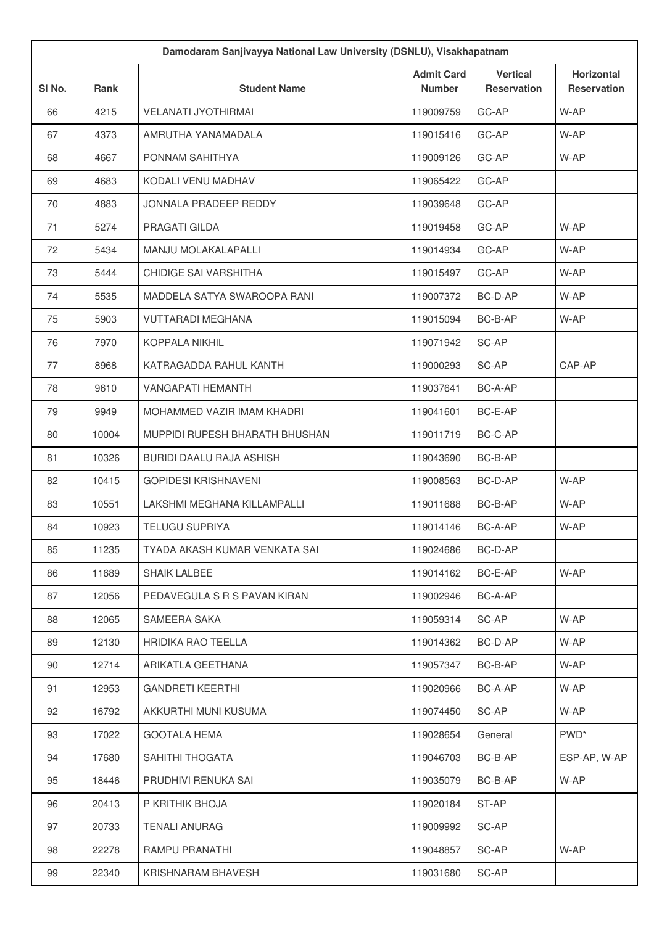| Damodaram Sanjivayya National Law University (DSNLU), Visakhapatnam |             |                                |                                    |                                       |                                         |
|---------------------------------------------------------------------|-------------|--------------------------------|------------------------------------|---------------------------------------|-----------------------------------------|
| SI No.                                                              | <b>Rank</b> | <b>Student Name</b>            | <b>Admit Card</b><br><b>Number</b> | <b>Vertical</b><br><b>Reservation</b> | <b>Horizontal</b><br><b>Reservation</b> |
| 66                                                                  | 4215        | <b>VELANATI JYOTHIRMAI</b>     | 119009759                          | GC-AP                                 | W-AP                                    |
| 67                                                                  | 4373        | AMRUTHA YANAMADALA             | 119015416                          | GC-AP                                 | W-AP                                    |
| 68                                                                  | 4667        | PONNAM SAHITHYA                | 119009126                          | GC-AP                                 | W-AP                                    |
| 69                                                                  | 4683        | KODALI VENU MADHAV             | 119065422                          | GC-AP                                 |                                         |
| 70                                                                  | 4883        | JONNALA PRADEEP REDDY          | 119039648                          | GC-AP                                 |                                         |
| 71                                                                  | 5274        | PRAGATI GILDA                  | 119019458                          | GC-AP                                 | W-AP                                    |
| 72                                                                  | 5434        | MANJU MOLAKALAPALLI            | 119014934                          | GC-AP                                 | W-AP                                    |
| 73                                                                  | 5444        | CHIDIGE SAI VARSHITHA          | 119015497                          | GC-AP                                 | W-AP                                    |
| 74                                                                  | 5535        | MADDELA SATYA SWAROOPA RANI    | 119007372                          | BC-D-AP                               | W-AP                                    |
| 75                                                                  | 5903        | <b>VUTTARADI MEGHANA</b>       | 119015094                          | BC-B-AP                               | W-AP                                    |
| 76                                                                  | 7970        | KOPPALA NIKHIL                 | 119071942                          | SC-AP                                 |                                         |
| 77                                                                  | 8968        | KATRAGADDA RAHUL KANTH         | 119000293                          | SC-AP                                 | CAP-AP                                  |
| 78                                                                  | 9610        | <b>VANGAPATI HEMANTH</b>       | 119037641                          | BC-A-AP                               |                                         |
| 79                                                                  | 9949        | MOHAMMED VAZIR IMAM KHADRI     | 119041601                          | BC-E-AP                               |                                         |
| 80                                                                  | 10004       | MUPPIDI RUPESH BHARATH BHUSHAN | 119011719                          | BC-C-AP                               |                                         |
| 81                                                                  | 10326       | BURIDI DAALU RAJA ASHISH       | 119043690                          | BC-B-AP                               |                                         |
| 82                                                                  | 10415       | <b>GOPIDESI KRISHNAVENI</b>    | 119008563                          | BC-D-AP                               | W-AP                                    |
| 83                                                                  | 10551       | LAKSHMI MEGHANA KILLAMPALLI    | 119011688                          | BC-B-AP                               | W-AP                                    |
| 84                                                                  | 10923       | <b>TELUGU SUPRIYA</b>          | 119014146                          | BC-A-AP                               | W-AP                                    |
| 85                                                                  | 11235       | TYADA AKASH KUMAR VENKATA SAI  | 119024686                          | BC-D-AP                               |                                         |
| 86                                                                  | 11689       | SHAIK LALBEE                   | 119014162                          | BC-E-AP                               | W-AP                                    |
| 87                                                                  | 12056       | PEDAVEGULA S R S PAVAN KIRAN   | 119002946                          | BC-A-AP                               |                                         |
| 88                                                                  | 12065       | SAMEERA SAKA                   | 119059314                          | SC-AP                                 | W-AP                                    |
| 89                                                                  | 12130       | <b>HRIDIKA RAO TEELLA</b>      | 119014362                          | BC-D-AP                               | W-AP                                    |
| 90                                                                  | 12714       | ARIKATLA GEETHANA              | 119057347                          | BC-B-AP                               | W-AP                                    |
| 91                                                                  | 12953       | <b>GANDRETI KEERTHI</b>        | 119020966                          | BC-A-AP                               | W-AP                                    |
| 92                                                                  | 16792       | AKKURTHI MUNI KUSUMA           | 119074450                          | SC-AP                                 | W-AP                                    |
| 93                                                                  | 17022       | <b>GOOTALA HEMA</b>            | 119028654                          | General                               | PWD <sup>*</sup>                        |
| 94                                                                  | 17680       | SAHITHI THOGATA                | 119046703                          | BC-B-AP                               | ESP-AP, W-AP                            |
| 95                                                                  | 18446       | PRUDHIVI RENUKA SAI            | 119035079                          | BC-B-AP                               | W-AP                                    |
| 96                                                                  | 20413       | P KRITHIK BHOJA                | 119020184                          | ST-AP                                 |                                         |
| 97                                                                  | 20733       | <b>TENALI ANURAG</b>           | 119009992                          | SC-AP                                 |                                         |
| 98                                                                  | 22278       | RAMPU PRANATHI                 | 119048857                          | SC-AP                                 | W-AP                                    |
| 99                                                                  | 22340       | KRISHNARAM BHAVESH             | 119031680                          | SC-AP                                 |                                         |